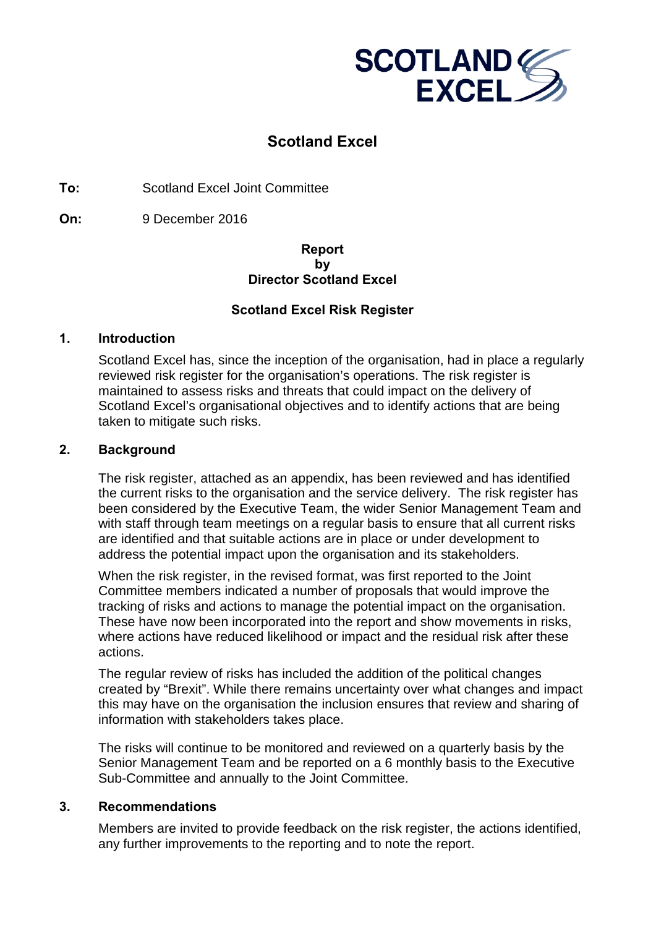

# **Scotland Excel**

**To:** Scotland Excel Joint Committee

**On:** 9 December 2016

# **Report by Director Scotland Excel**

# **Scotland Excel Risk Register**

# **1. Introduction**

Scotland Excel has, since the inception of the organisation, had in place a regularly reviewed risk register for the organisation's operations. The risk register is maintained to assess risks and threats that could impact on the delivery of Scotland Excel's organisational objectives and to identify actions that are being taken to mitigate such risks.

#### **2. Background**

The risk register, attached as an appendix, has been reviewed and has identified the current risks to the organisation and the service delivery. The risk register has been considered by the Executive Team, the wider Senior Management Team and with staff through team meetings on a regular basis to ensure that all current risks are identified and that suitable actions are in place or under development to address the potential impact upon the organisation and its stakeholders.

When the risk register, in the revised format, was first reported to the Joint Committee members indicated a number of proposals that would improve the tracking of risks and actions to manage the potential impact on the organisation. These have now been incorporated into the report and show movements in risks, where actions have reduced likelihood or impact and the residual risk after these actions.

The regular review of risks has included the addition of the political changes created by "Brexit". While there remains uncertainty over what changes and impact this may have on the organisation the inclusion ensures that review and sharing of information with stakeholders takes place.

The risks will continue to be monitored and reviewed on a quarterly basis by the Senior Management Team and be reported on a 6 monthly basis to the Executive Sub-Committee and annually to the Joint Committee.

# **3. Recommendations**

Members are invited to provide feedback on the risk register, the actions identified, any further improvements to the reporting and to note the report.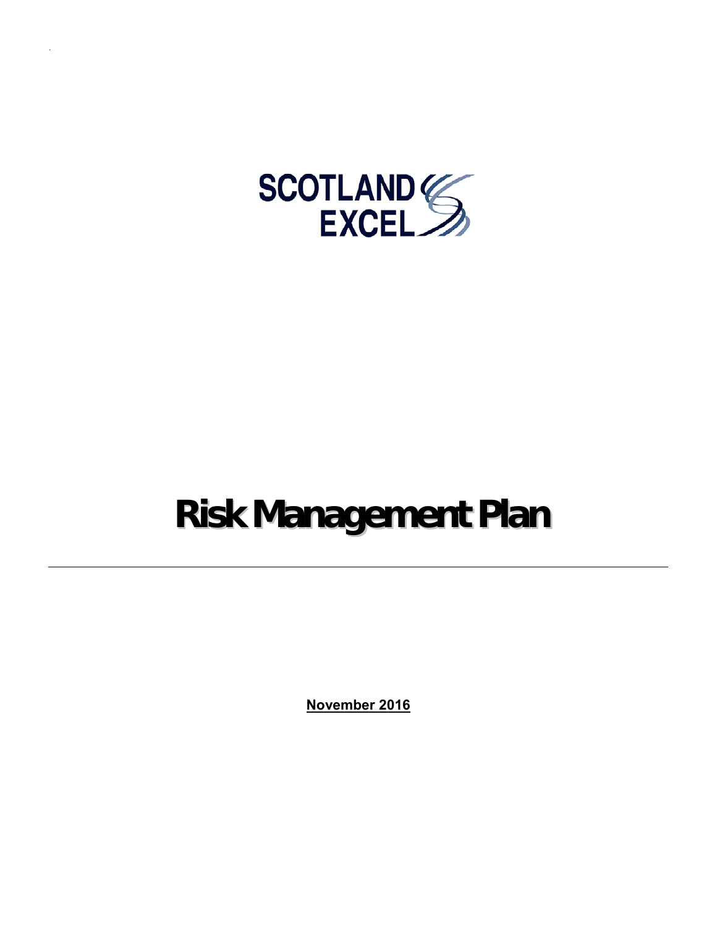

# **Risk Management Plan**

**November 2016**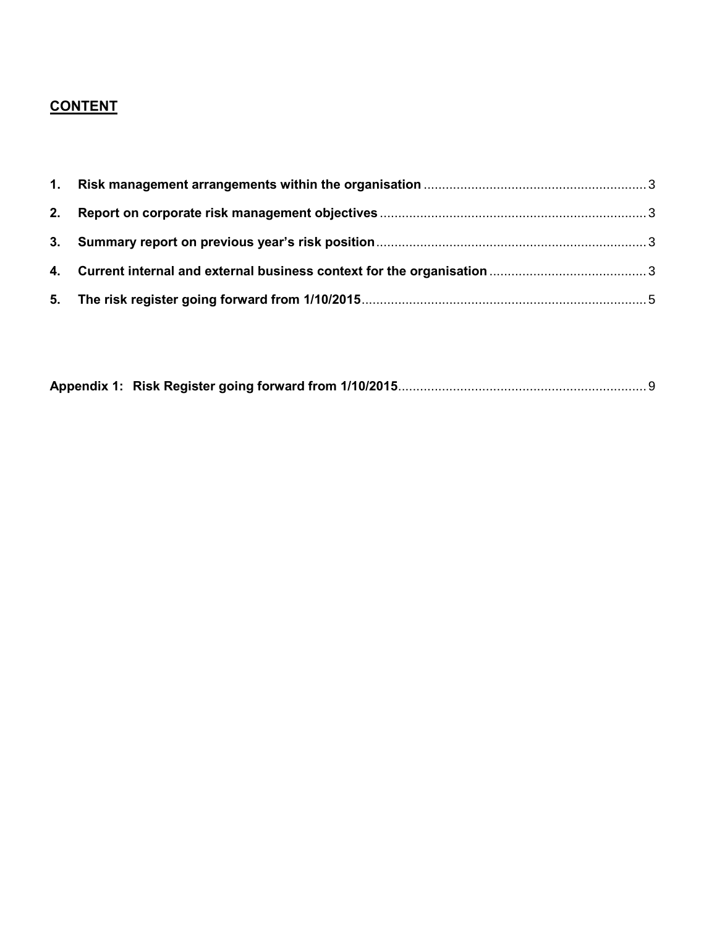# **CONTENT**

|--|--|--|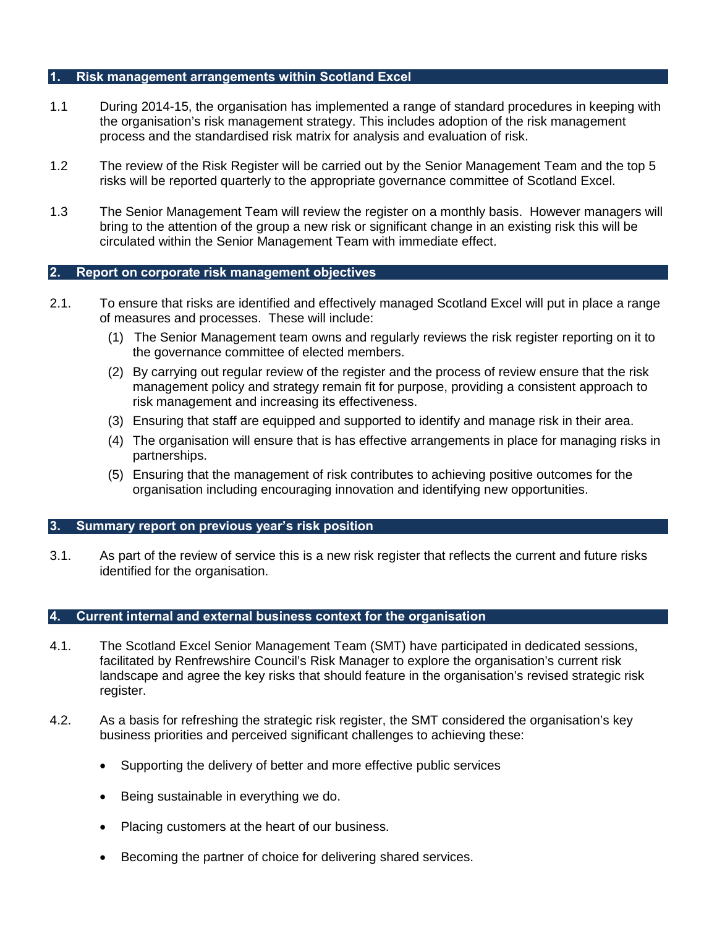#### <span id="page-4-0"></span>**1. Risk management arrangements within Scotland Excel**

- 1.1 During 2014-15, the organisation has implemented a range of standard procedures in keeping with the organisation's risk management strategy. This includes adoption of the risk management process and the standardised risk matrix for analysis and evaluation of risk.
- 1.2 The review of the Risk Register will be carried out by the Senior Management Team and the top 5 risks will be reported quarterly to the appropriate governance committee of Scotland Excel.
- 1.3 The Senior Management Team will review the register on a monthly basis. However managers will bring to the attention of the group a new risk or significant change in an existing risk this will be circulated within the Senior Management Team with immediate effect.

#### <span id="page-4-1"></span>**2. Report on corporate risk management objectives**

- 2.1. To ensure that risks are identified and effectively managed Scotland Excel will put in place a range of measures and processes. These will include:
	- (1) The Senior Management team owns and regularly reviews the risk register reporting on it to the governance committee of elected members.
	- (2) By carrying out regular review of the register and the process of review ensure that the risk management policy and strategy remain fit for purpose, providing a consistent approach to risk management and increasing its effectiveness.
	- (3) Ensuring that staff are equipped and supported to identify and manage risk in their area.
	- (4) The organisation will ensure that is has effective arrangements in place for managing risks in partnerships.
	- (5) Ensuring that the management of risk contributes to achieving positive outcomes for the organisation including encouraging innovation and identifying new opportunities.

#### <span id="page-4-2"></span>**3. Summary report on previous year's risk position**

3.1. As part of the review of service this is a new risk register that reflects the current and future risks identified for the organisation.

#### <span id="page-4-3"></span>**4. Current internal and external business context for the organisation**

- 4.1. The Scotland Excel Senior Management Team (SMT) have participated in dedicated sessions, facilitated by Renfrewshire Council's Risk Manager to explore the organisation's current risk landscape and agree the key risks that should feature in the organisation's revised strategic risk register.
- 4.2. As a basis for refreshing the strategic risk register, the SMT considered the organisation's key business priorities and perceived significant challenges to achieving these:
	- Supporting the delivery of better and more effective public services
	- Being sustainable in everything we do.
	- Placing customers at the heart of our business.
	- Becoming the partner of choice for delivering shared services.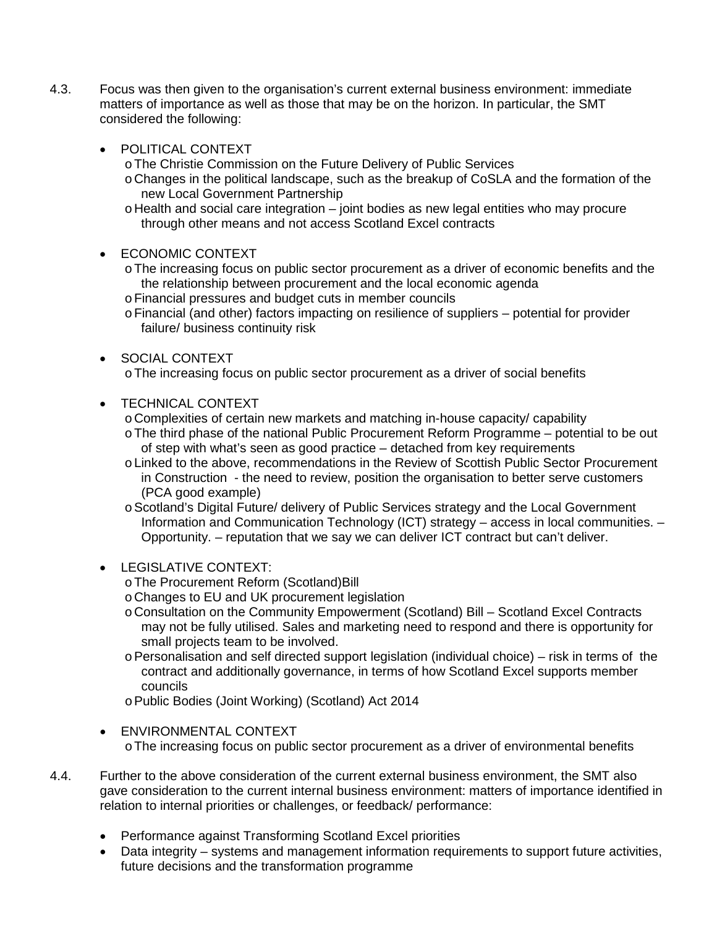- 4.3. Focus was then given to the organisation's current external business environment: immediate matters of importance as well as those that may be on the horizon. In particular, the SMT considered the following:
	- POLITICAL CONTEXT
		- oThe Christie Commission on the Future Delivery of Public Services
		- oChanges in the political landscape, such as the breakup of CoSLA and the formation of the new Local Government Partnership
		- o Health and social care integration joint bodies as new legal entities who may procure through other means and not access Scotland Excel contracts
	- ECONOMIC CONTEXT
		- oThe increasing focus on public sector procurement as a driver of economic benefits and the the relationship between procurement and the local economic agenda
		- oFinancial pressures and budget cuts in member councils
		- oFinancial (and other) factors impacting on resilience of suppliers potential for provider failure/ business continuity risk
	- SOCIAL CONTEXT
		- oThe increasing focus on public sector procurement as a driver of social benefits
	- TECHNICAL CONTEXT
		- oComplexities of certain new markets and matching in-house capacity/ capability
		- oThe third phase of the national Public Procurement Reform Programme potential to be out of step with what's seen as good practice – detached from key requirements
		- oLinked to the above, recommendations in the Review of Scottish Public Sector Procurement in Construction - the need to review, position the organisation to better serve customers (PCA good example)
		- oScotland's Digital Future/ delivery of Public Services strategy and the Local Government Information and Communication Technology (ICT) strategy – access in local communities. – Opportunity. – reputation that we say we can deliver ICT contract but can't deliver.
	- $\bullet$  LEGISLATIVE CONTEXT
		- oThe Procurement Reform (Scotland)Bill
		- oChanges to EU and UK procurement legislation
		- o Consultation on the Community Empowerment (Scotland) Bill Scotland Excel Contracts may not be fully utilised. Sales and marketing need to respond and there is opportunity for small projects team to be involved.
		- o Personalisation and self directed support legislation (individual choice) risk in terms of the contract and additionally governance, in terms of how Scotland Excel supports member councils
		- oPublic Bodies (Joint Working) (Scotland) Act 2014
	- ENVIRONMENTAL CONTEXT oThe increasing focus on public sector procurement as a driver of environmental benefits
- 4.4. Further to the above consideration of the current external business environment, the SMT also gave consideration to the current internal business environment: matters of importance identified in relation to internal priorities or challenges, or feedback/ performance:
	- Performance against Transforming Scotland Excel priorities
	- Data integrity systems and management information requirements to support future activities, future decisions and the transformation programme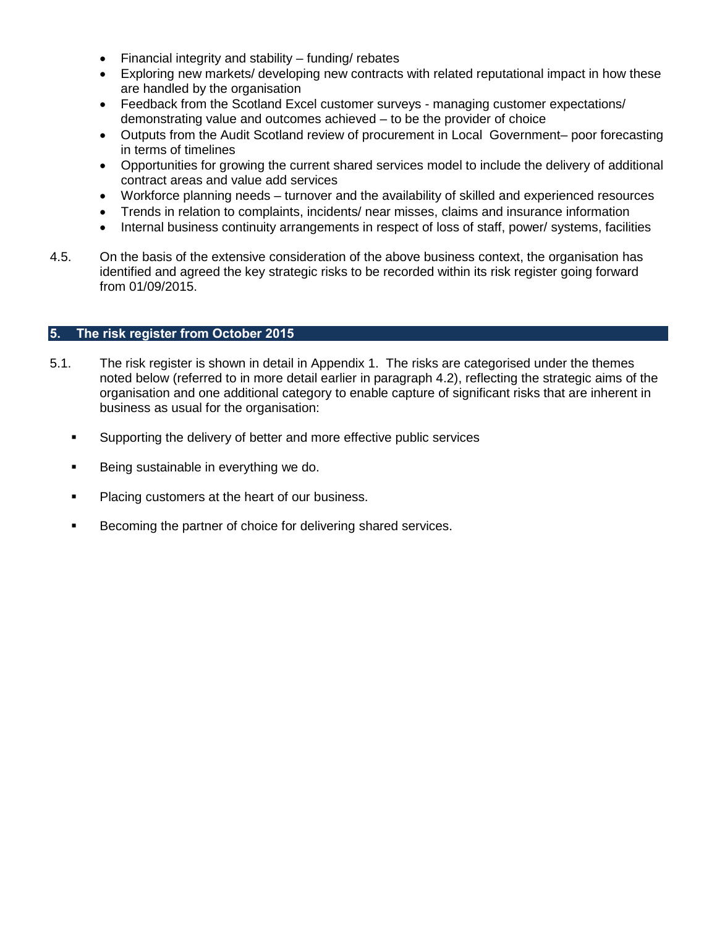- Financial integrity and stability funding/ rebates
- Exploring new markets/ developing new contracts with related reputational impact in how these are handled by the organisation
- Feedback from the Scotland Excel customer surveys managing customer expectations/ demonstrating value and outcomes achieved – to be the provider of choice
- Outputs from the Audit Scotland review of procurement in Local Government– poor forecasting in terms of timelines
- Opportunities for growing the current shared services model to include the delivery of additional contract areas and value add services
- Workforce planning needs turnover and the availability of skilled and experienced resources
- Trends in relation to complaints, incidents/ near misses, claims and insurance information
- Internal business continuity arrangements in respect of loss of staff, power/ systems, facilities
- 4.5. On the basis of the extensive consideration of the above business context, the organisation has identified and agreed the key strategic risks to be recorded within its risk register going forward from 01/09/2015.

#### <span id="page-6-0"></span>**5. The risk register from October 2015**

- 5.1. The risk register is shown in detail in Appendix 1. The risks are categorised under the themes noted below (referred to in more detail earlier in paragraph 4.2), reflecting the strategic aims of the organisation and one additional category to enable capture of significant risks that are inherent in business as usual for the organisation:
	- Supporting the delivery of better and more effective public services
	- Being sustainable in everything we do.
	- Placing customers at the heart of our business.
	- Becoming the partner of choice for delivering shared services.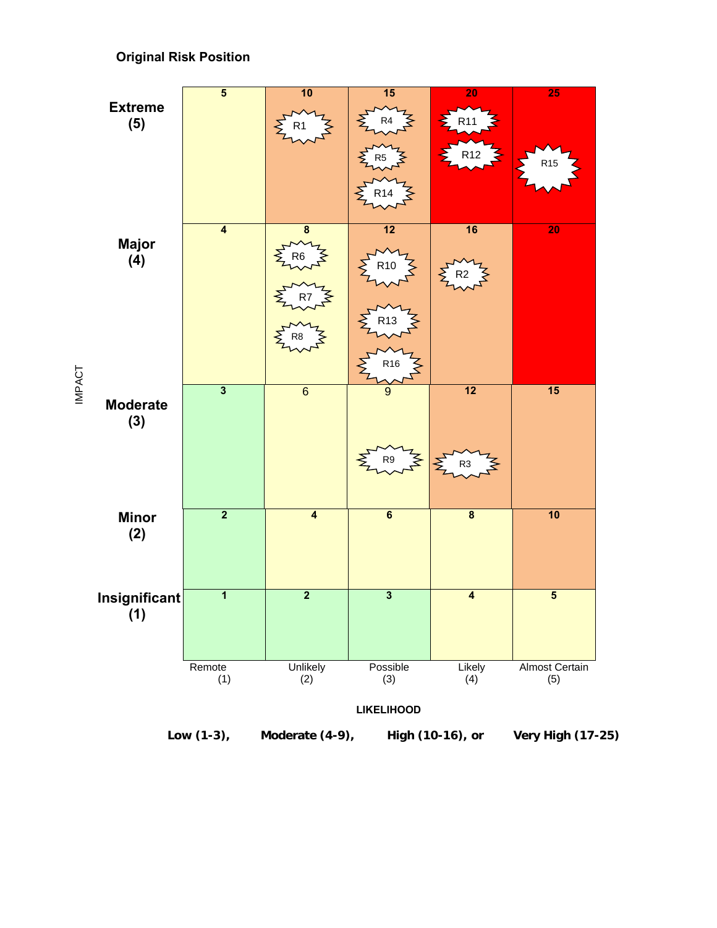# **Original Risk Position**



**IMPACT** IMPACT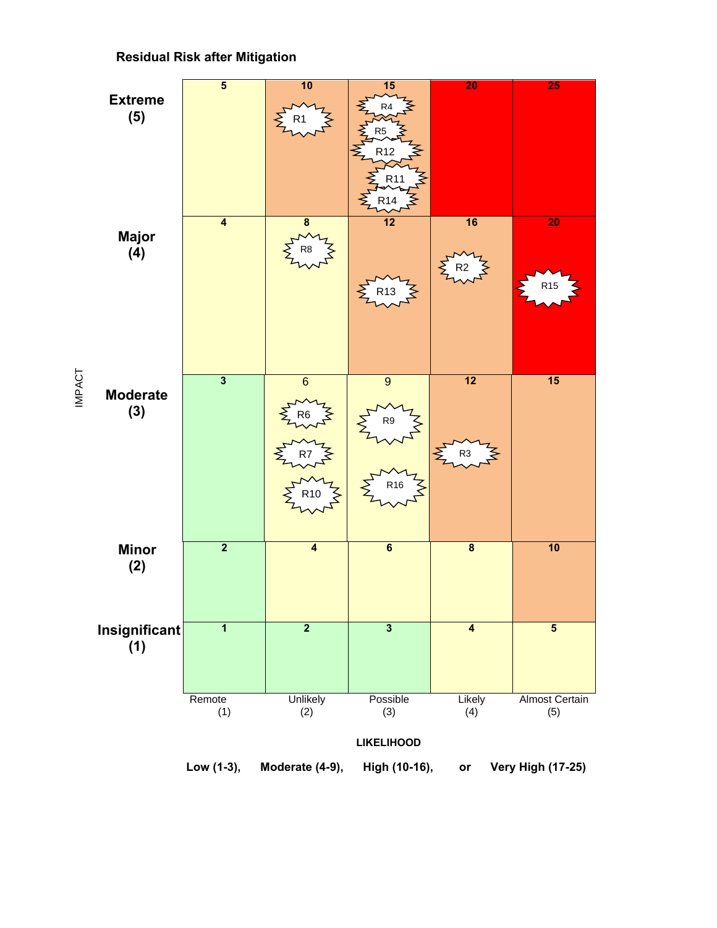

# **Residual Risk after Mitigation**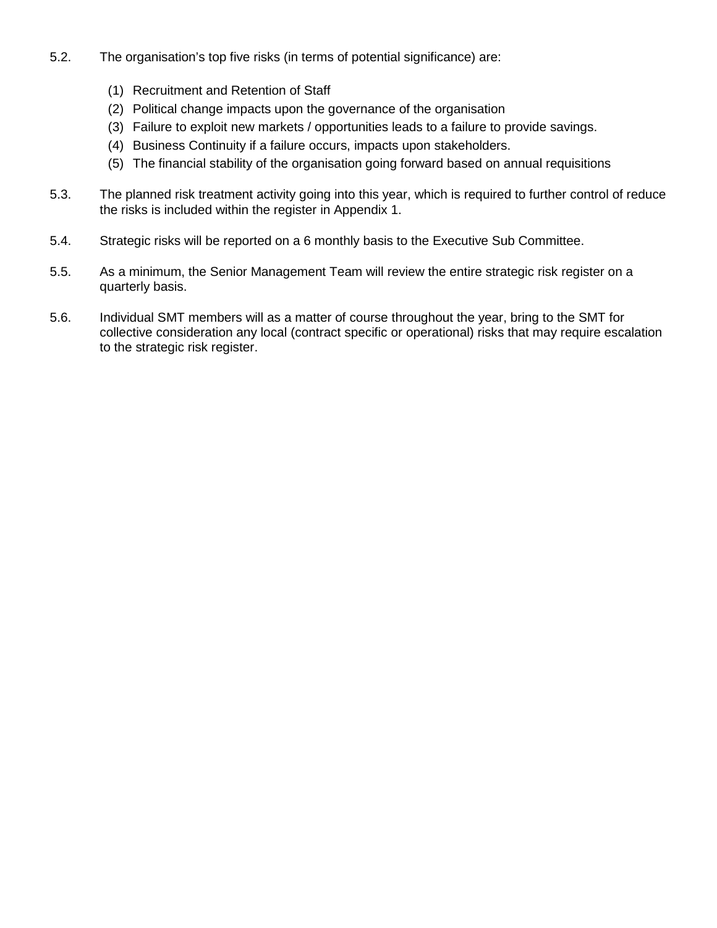- 5.2. The organisation's top five risks (in terms of potential significance) are:
	- (1) Recruitment and Retention of Staff
	- (2) Political change impacts upon the governance of the organisation
	- (3) Failure to exploit new markets / opportunities leads to a failure to provide savings.
	- (4) Business Continuity if a failure occurs, impacts upon stakeholders.
	- (5) The financial stability of the organisation going forward based on annual requisitions
- 5.3. The planned risk treatment activity going into this year, which is required to further control of reduce the risks is included within the register in Appendix 1.
- 5.4. Strategic risks will be reported on a 6 monthly basis to the Executive Sub Committee.
- 5.5. As a minimum, the Senior Management Team will review the entire strategic risk register on a quarterly basis.
- 5.6. Individual SMT members will as a matter of course throughout the year, bring to the SMT for collective consideration any local (contract specific or operational) risks that may require escalation to the strategic risk register.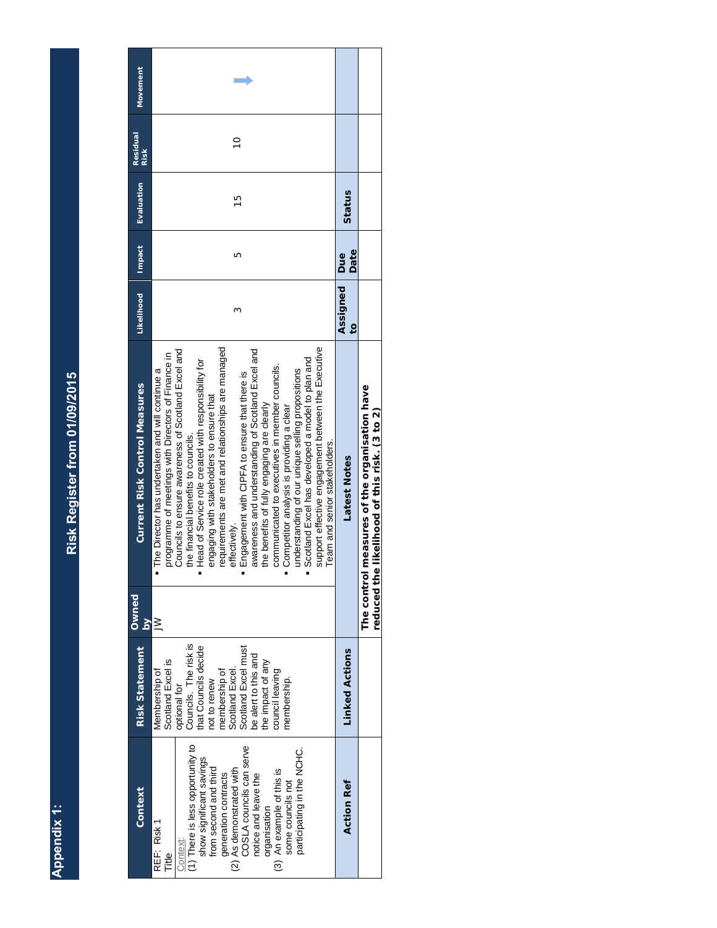**Appendix 1: Appendix 1:** 

# <span id="page-10-0"></span>Risk Register from 01/09/2015 **Risk Register from 01/09/2015**

| <b>Movement</b>                      |                                                                                                                                                                                                                                                                                                                                                                                                                                                                                                                                                                                                                                                                                                                                                                                                                                |                                  |                                                                                    |
|--------------------------------------|--------------------------------------------------------------------------------------------------------------------------------------------------------------------------------------------------------------------------------------------------------------------------------------------------------------------------------------------------------------------------------------------------------------------------------------------------------------------------------------------------------------------------------------------------------------------------------------------------------------------------------------------------------------------------------------------------------------------------------------------------------------------------------------------------------------------------------|----------------------------------|------------------------------------------------------------------------------------|
| Residual<br><b>Risk</b>              | $\frac{1}{2}$                                                                                                                                                                                                                                                                                                                                                                                                                                                                                                                                                                                                                                                                                                                                                                                                                  |                                  |                                                                                    |
| Evaluation                           | $\frac{5}{1}$                                                                                                                                                                                                                                                                                                                                                                                                                                                                                                                                                                                                                                                                                                                                                                                                                  | Status                           |                                                                                    |
| Impact                               | Ю                                                                                                                                                                                                                                                                                                                                                                                                                                                                                                                                                                                                                                                                                                                                                                                                                              | Date                             |                                                                                    |
| Likelihood                           | Σ                                                                                                                                                                                                                                                                                                                                                                                                                                                                                                                                                                                                                                                                                                                                                                                                                              | Assigned   Due<br>$\overline{c}$ |                                                                                    |
| <b>Current Risk Control Measures</b> | requirements are met and relationships are managed<br>support effective engagement between the Executive<br>Councils to ensure awareness of Scotland Excel and<br>awareness and understanding of Scotland Excel and<br>programme of meetings with Directors of Finance in<br>Scotland Excel has developed a model to plan and<br>Head of Service role created with responsibility for<br>communicated to executives in member councils.<br>understanding of our unique selling propositions<br>The Director has undertaken and will continue a<br>Engagement with CIPFA to ensure that there is<br>engaging with stakeholders to ensure that<br>the benefits of fully engaging are clearly<br>Competitor analysis is providing a clear<br>the financial benefits to councils.<br>Team and senior stakeholders.<br>effectively. | <b>Latest Notes</b>              | measures of the organisation have<br>reduced the likelihood of this risk. (3 to 2) |
| Owned<br>$\geq$                      | $\geq$                                                                                                                                                                                                                                                                                                                                                                                                                                                                                                                                                                                                                                                                                                                                                                                                                         |                                  | The control                                                                        |
| <b>Risk Statement</b>                | Councils. The risk is<br>that Councils decide<br>Scotland Excel must<br>be alert to this and<br>Scotland Excel is<br>the impact of any<br>Scotland Excel.<br>membership of<br>council leaving<br>Membership of<br>membership.<br>not to renew<br>optional for                                                                                                                                                                                                                                                                                                                                                                                                                                                                                                                                                                  | <b>Linked Actions</b>            |                                                                                    |
| <b>Context</b>                       | (1) There is less opportunity to<br>COSLA councils can serve<br>participating in the NCHC.<br>show significant savings<br>from second and third<br>(2) As demonstrated with<br>(3) An example of this is<br>generation contracts<br>notice and leave the<br>some councils not<br>organisation<br>REF: Risk 1<br>Context:<br>Title                                                                                                                                                                                                                                                                                                                                                                                                                                                                                              | <b>Action Ref</b>                |                                                                                    |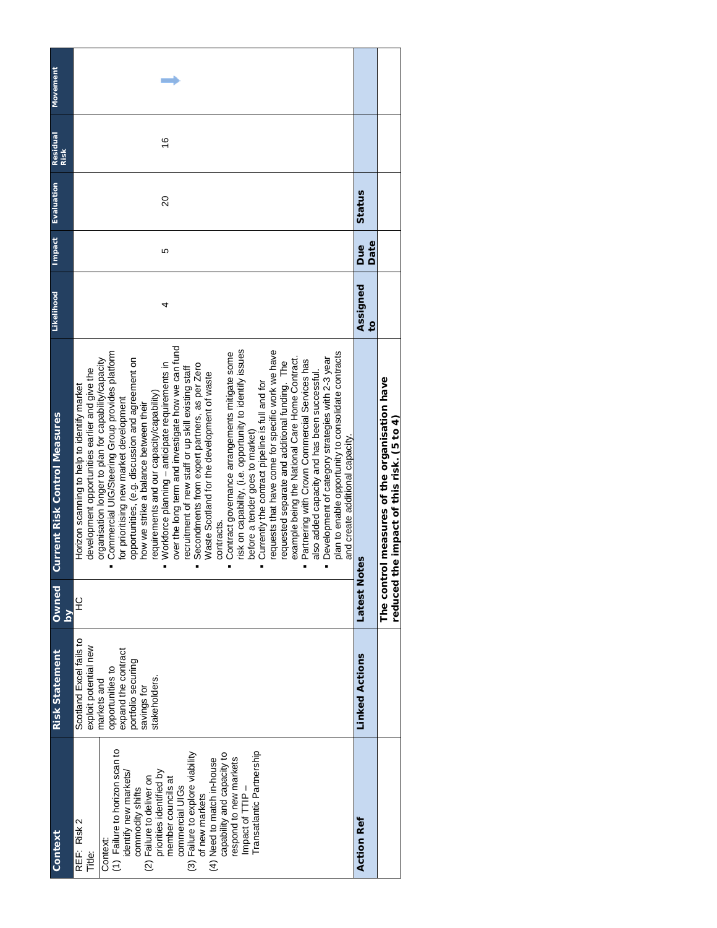| Context                                                                                                                                                                                                                                                                                                                                                                                                        | <b>Risk Statement</b>                                                                                                                                            | Owned           | <b>Current Risk Control Measures</b>                                                                                                                                                                                                                                                                                                                                                                                                                                                                                                                                                                                                                                                                                                                                                                                                                                                                                                                                                                                                                                                                                                                                                                                                                                                   | Likelihood                 |             | Impact Evaluation | <b>Residual</b><br>Risk | <b>Movement</b> |
|----------------------------------------------------------------------------------------------------------------------------------------------------------------------------------------------------------------------------------------------------------------------------------------------------------------------------------------------------------------------------------------------------------------|------------------------------------------------------------------------------------------------------------------------------------------------------------------|-----------------|----------------------------------------------------------------------------------------------------------------------------------------------------------------------------------------------------------------------------------------------------------------------------------------------------------------------------------------------------------------------------------------------------------------------------------------------------------------------------------------------------------------------------------------------------------------------------------------------------------------------------------------------------------------------------------------------------------------------------------------------------------------------------------------------------------------------------------------------------------------------------------------------------------------------------------------------------------------------------------------------------------------------------------------------------------------------------------------------------------------------------------------------------------------------------------------------------------------------------------------------------------------------------------------|----------------------------|-------------|-------------------|-------------------------|-----------------|
| (1) Failure to horizon scan to<br>Transatlantic Partnership<br>(3) Failure to explore viability<br>capability and capacity to<br>respond to new markets<br>(4) Need to match in-house<br>priorities identified by<br>identify new markets/<br>(2) Failure to deliver on<br>member councils at<br>Impact of TTIP-<br>commercial UIGs<br>commodity shifts<br>of new markets<br>REF: Risk 2<br>Context:<br>Title: | Scotland Excel fails to<br>exploit potential new<br>expand the contract<br>portfolio securing<br>opportunities to<br>stakeholders.<br>markets and<br>savings for | 오<br>$\geq$     | over the long term and investigate how we can fund<br>risk on capability, (i.e. opportunity to identify issues<br>requests that have come for specific work we have<br>Commercial UIG/Steering Group provides platform<br>Contract governance arrangements mitigate some<br>plan to enable opportunity to consolidate contracts<br>example being the National Care Home Contract.<br>Development of category strategies with 2-3 year<br>opportunities, (e.g. discussion and agreement on<br>organisation longer to plan for capability/capacity<br>Partnering with Crown Commercial Services has<br>requested separate and additional funding. The<br>Workforce planning - anticipate requirements in<br>Secondments from expert partners, as per Zero<br>recruitment of new staff or up skill existing staff<br>development opportunities earlier and give the<br>Waste Scotland for the development of waste<br>also added capacity and has been successful.<br>Currently the contract pipeline is full and for<br>Horizon scanning to help to identify market<br>requirements and our capacity/capability)<br>for prioritising new market development<br>how we strike a balance between their<br>before a tender goes to market)<br>and create additional capacity.<br>contracts. | 4                          | Ю           | 20                | $\frac{6}{5}$           |                 |
| <b>Action Ref</b>                                                                                                                                                                                                                                                                                                                                                                                              | <b>Linked Actions</b>                                                                                                                                            | Latest<br>Notes |                                                                                                                                                                                                                                                                                                                                                                                                                                                                                                                                                                                                                                                                                                                                                                                                                                                                                                                                                                                                                                                                                                                                                                                                                                                                                        | Assigned<br>$\overline{c}$ | Date<br>Due | Status            |                         |                 |
|                                                                                                                                                                                                                                                                                                                                                                                                                |                                                                                                                                                                  | reduced         | The control measures of the organisation have<br>the impact of this risk. (5 to 4)                                                                                                                                                                                                                                                                                                                                                                                                                                                                                                                                                                                                                                                                                                                                                                                                                                                                                                                                                                                                                                                                                                                                                                                                     |                            |             |                   |                         |                 |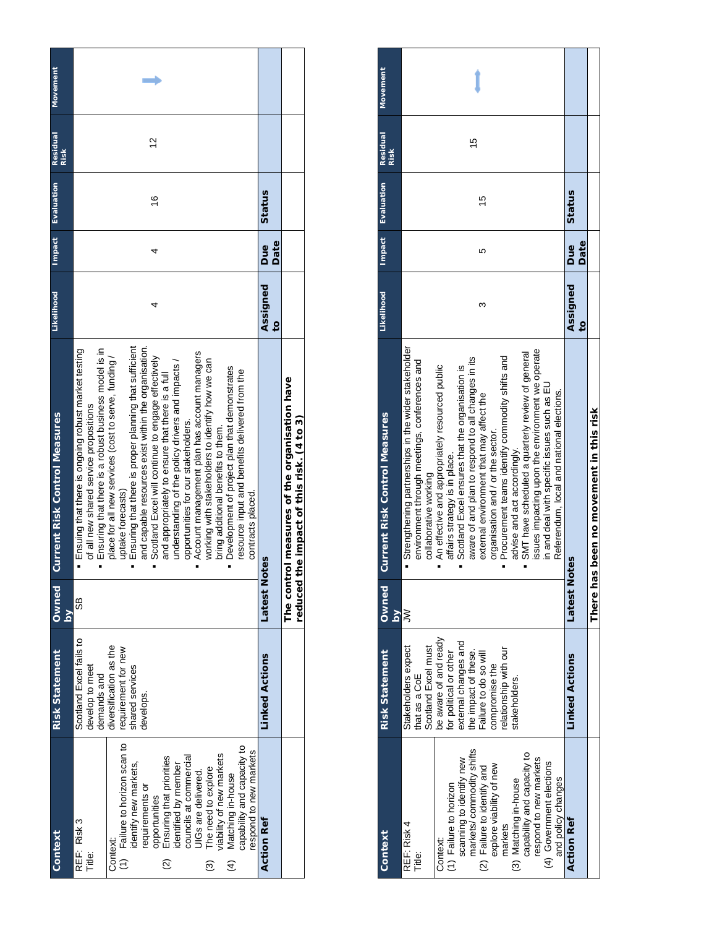| <b>Movement</b>                                      |                                                                                                                                                                                                                                                                                                                                                                                                                                                                                                                                                                                                                                                                                                                                                                                                                                     |                            |                                                                                               |
|------------------------------------------------------|-------------------------------------------------------------------------------------------------------------------------------------------------------------------------------------------------------------------------------------------------------------------------------------------------------------------------------------------------------------------------------------------------------------------------------------------------------------------------------------------------------------------------------------------------------------------------------------------------------------------------------------------------------------------------------------------------------------------------------------------------------------------------------------------------------------------------------------|----------------------------|-----------------------------------------------------------------------------------------------|
| Residual<br><b>Risk</b>                              | 57                                                                                                                                                                                                                                                                                                                                                                                                                                                                                                                                                                                                                                                                                                                                                                                                                                  |                            |                                                                                               |
| Evaluation                                           | $\frac{6}{1}$                                                                                                                                                                                                                                                                                                                                                                                                                                                                                                                                                                                                                                                                                                                                                                                                                       | Status                     |                                                                                               |
| Impact                                               |                                                                                                                                                                                                                                                                                                                                                                                                                                                                                                                                                                                                                                                                                                                                                                                                                                     | Date<br><b>Bue</b>         |                                                                                               |
| Likelihood                                           | 4                                                                                                                                                                                                                                                                                                                                                                                                                                                                                                                                                                                                                                                                                                                                                                                                                                   | Assigned<br>$\overline{5}$ |                                                                                               |
| <b>Current Risk Control Measures</b><br><b>Owned</b> | Ensuring that there is proper planning that sufficient<br>and capable resources exist within the organisation.<br>Ensuring that there is a robust business model is in<br>· Ensuing that there is ongoing robust market testing<br>Account management plan has account managers<br>place for all new services (cost to serve, funding/<br>Scotland Excel will continue to engage effectively<br>working with stakeholders to identify how we can<br>understanding of the policy drivers and impacts /<br>Development of project plan that demonstrates<br>resource input and benefits delivered from the<br>and appropriately to ensure that there is a full<br>of all new shared service propositions<br>opportunities for our stakeholders.<br>bring additional benefits to them.<br>uptake forecasts)<br>contracts placed.<br>89 | Latest<br>Notes            | The control measures of the organisation have<br>the impact of this risk. (4 to 3)<br>reduced |
| $\geq$<br><b>Risk Statement</b>                      | Scotland Excel fails to<br>diversification as the<br>requirement for new<br>develop to meet<br>shared services<br>demands and<br>develops.                                                                                                                                                                                                                                                                                                                                                                                                                                                                                                                                                                                                                                                                                          | <b>Linked Actions</b>      |                                                                                               |
| Context                                              | (1) Failure to horizon scan to<br>capability and capacity to<br>respond to new markets<br>riability of new markets<br>councils at commercial<br>UIGs are delivered.<br>opportunities<br>Ensuring that priorities<br>identified by member<br>dentify new markets,<br>The need to explore<br>Matching in-house<br>requirements or<br>REF: Risk 3<br>Context:<br>Title:<br>$\widehat{\mathfrak{D}}$<br>$\widehat{4}$<br>ම                                                                                                                                                                                                                                                                                                                                                                                                              | <b>Action Ref</b>          |                                                                                               |

| Context                     | <b>Risk Statement</b>  | Owned                   | <b>Current Risk Control Measures</b>                | <b>Likelihood</b> | <b>Impact</b> | Evaluation | <b>Residual</b> | <b>Movement</b> |
|-----------------------------|------------------------|-------------------------|-----------------------------------------------------|-------------------|---------------|------------|-----------------|-----------------|
|                             |                        | $\overline{\mathsf{a}}$ |                                                     |                   |               |            | <b>Risk</b>     |                 |
| REF: Risk 4                 | Stakeholders expect    | ≧                       | Strengthening partnerships in the wider stakeholder |                   |               |            |                 |                 |
| Title:                      | that as a CoE          |                         | environment through meetings, conferences and       |                   |               |            |                 |                 |
|                             | Scotland Excel must    |                         | collaborative working                               |                   |               |            |                 |                 |
| Context:                    | be aware of and ready  |                         | An effective and appropriately resourced public     |                   |               |            |                 |                 |
| (1) Failure to horizon      | for political or other |                         | affairs strategy is in place.                       |                   |               |            |                 |                 |
| scanning to identify new    | external changes and   |                         | Scotland Excel ensures that the organisation is     |                   |               |            |                 |                 |
| markets/commodity shifts    | the impact of these.   |                         | aware of and plan to respond to all changes in its  |                   |               |            | $\overline{6}$  |                 |
| (2) Failure to identify and | ailure to do so will   |                         | external environment that may affect the            | ω                 | ю             | 15         |                 |                 |
| explore viability of new    | compromise the         |                         | organisation and / or the sector.                   |                   |               |            |                 |                 |
| markets                     | elationship with our   |                         | Procurement teams identify commodity shifts and     |                   |               |            |                 |                 |
| (3) Matching in-house       | stakeholders.          |                         | advise and act accordingly.                         |                   |               |            |                 |                 |
| capability and capacity to  |                        |                         | SMT have scheduled a quarterly review of general    |                   |               |            |                 |                 |
| respond to new markets      |                        |                         | issues impacting upon the environment we operate    |                   |               |            |                 |                 |
| (4) Government elections    |                        |                         | in and deal with specific issues such as EU         |                   |               |            |                 |                 |
| and policy changes          |                        |                         | Referendum, local and national elections.           |                   |               |            |                 |                 |
| <b>Action Ref</b>           | <b>Linked Actions</b>  | Latest<br>Notes         |                                                     | Assigned          | Due           | Status     |                 |                 |
|                             |                        |                         |                                                     | $\overline{c}$    | Date          |            |                 |                 |
|                             |                        |                         | There has been no movement in this risk             |                   |               |            |                 |                 |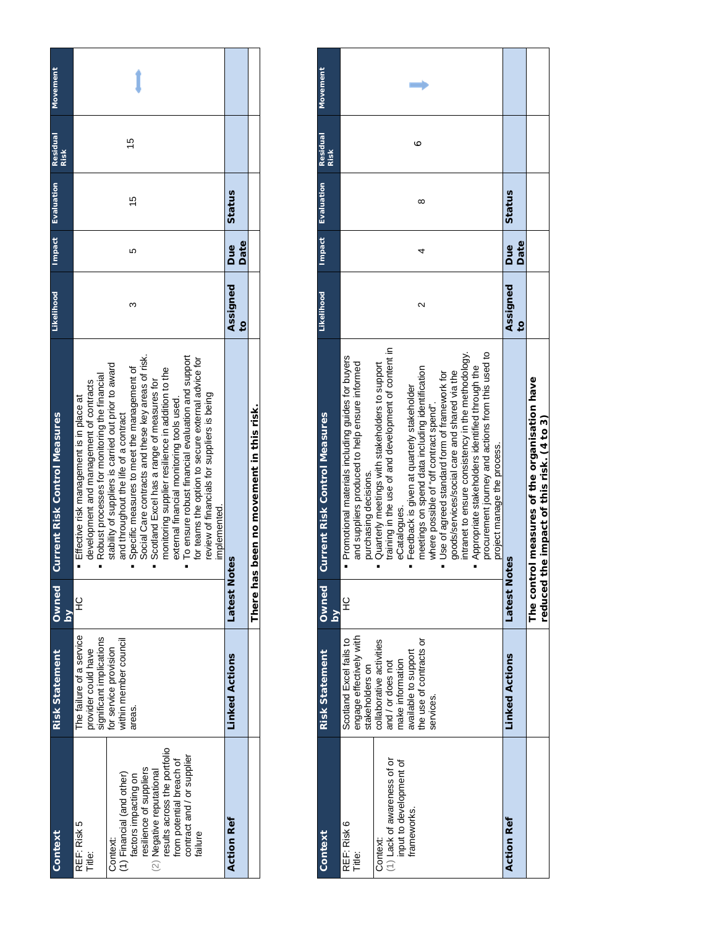| Context                      | <b>Risk Statement</b>    | Owned                   | <b>Current Risk Control Measures</b>                 | <b>Likelihood</b> |            | Impact Evaluation | <b>Residual</b> | Movement |
|------------------------------|--------------------------|-------------------------|------------------------------------------------------|-------------------|------------|-------------------|-----------------|----------|
|                              |                          | $\overline{\mathsf{a}}$ |                                                      |                   |            |                   | <b>Risk</b>     |          |
| REF: Risk 5                  | The failure of a service | 잎                       | Effective risk management is in place at             |                   |            |                   |                 |          |
| Title:                       | provider could have      |                         | development and management of contracts              |                   |            |                   |                 |          |
|                              | significant implications |                         | Robust processes for monitoring the financial        |                   |            |                   |                 |          |
| Context:                     | for service provision    |                         | stability of suppliers is carried out prior to award |                   |            |                   |                 |          |
| (1) Financial (and other)    | within member council    |                         | and throughout the life of a contract                |                   |            |                   |                 |          |
| factors impacting on         | areas.                   |                         | Specific measures to meet the management of          | ∞                 |            | 15                | 15              |          |
| resilience of suppliers      |                          |                         | Social Care contracts and these key areas of risk.   |                   |            |                   |                 |          |
| (2) Negative reputational    |                          |                         | Scotland Excel has a range of measures for           |                   |            |                   |                 |          |
| results across the portfolio |                          |                         | monitoring supplier resilience in addition to the    |                   |            |                   |                 |          |
| from potential breach of     |                          |                         | external financial monitoring tools used.            |                   |            |                   |                 |          |
| contract and / or supplier   |                          |                         | To ensure robust financial evaluation and support    |                   |            |                   |                 |          |
| failure                      |                          |                         | or teams the option to secure external advice for    |                   |            |                   |                 |          |
|                              |                          |                         | review of financials for suppliers is being          |                   |            |                   |                 |          |
|                              |                          |                         | implemented.                                         |                   |            |                   |                 |          |
| <b>Action Ref</b>            | <b>Linked Actions</b>    | Latest<br>Notes         |                                                      | Assigned          | <b>Due</b> | Status            |                 |          |
|                              |                          |                         |                                                      | $\mathbf{S}$      | Date       |                   |                 |          |
|                              |                          |                         | There has been no movement in this risk.             |                   |            |                   |                 |          |
|                              |                          |                         |                                                      |                   |            |                   |                 |          |

| Context                                                                                                    | <b>Risk Statement</b>                                                                                                                                                                                      | <b>Owned</b><br>$\mathsf{S}$ | Current Risk Control Measures                                                                                                                                                                                                                                                                                                                                                                                                                                                                                                                                                                                                                                                                         | Likelihood                 | Impact      | <b>Evaluation</b> | <b>Residual</b><br><b>Risk</b> | <b>Movement</b> |
|------------------------------------------------------------------------------------------------------------|------------------------------------------------------------------------------------------------------------------------------------------------------------------------------------------------------------|------------------------------|-------------------------------------------------------------------------------------------------------------------------------------------------------------------------------------------------------------------------------------------------------------------------------------------------------------------------------------------------------------------------------------------------------------------------------------------------------------------------------------------------------------------------------------------------------------------------------------------------------------------------------------------------------------------------------------------------------|----------------------------|-------------|-------------------|--------------------------------|-----------------|
| (1) Lack of awareness of or<br>input to development of<br>frameworks.<br>REF: Risk 6<br>Context:<br>Title: | engage effectively with<br>Scotland Excel fails to<br>the use of contracts or<br>collaborative activities<br>available to support<br>make information<br>and / or does not<br>stakeholders on<br>services. | $\frac{Q}{L}$                | training in the use of and development of content in<br>intranet to ensure consistency in the methodology.<br>procurement journey and actions from this used to<br>· Promotional materials including guides for buyers<br>and suppliers produced to help ensure informed<br>Quarterly meetings with stakeholders to support<br>Appropriate stakeholders identified through the<br>meetings on spend data including identification<br>• Use of agreed standard form of framework for<br>goods/services/social care and shared via the<br>Feedback is given at quarterly stakeholder<br>where possible of "off contract spend".<br>project manage the process.<br>purchasing decisions.<br>eCataloques. | N                          |             | ∞                 | ∘                              |                 |
| Action Ref                                                                                                 | <b>Linked Actions</b>                                                                                                                                                                                      | Latest<br>Notes              |                                                                                                                                                                                                                                                                                                                                                                                                                                                                                                                                                                                                                                                                                                       | Assigned<br>$\overline{c}$ | Date<br>Due | Status            |                                |                 |
|                                                                                                            |                                                                                                                                                                                                            | reduced th                   | The control measures of the organisation have<br>e impact of this risk. (4 to 3)                                                                                                                                                                                                                                                                                                                                                                                                                                                                                                                                                                                                                      |                            |             |                   |                                |                 |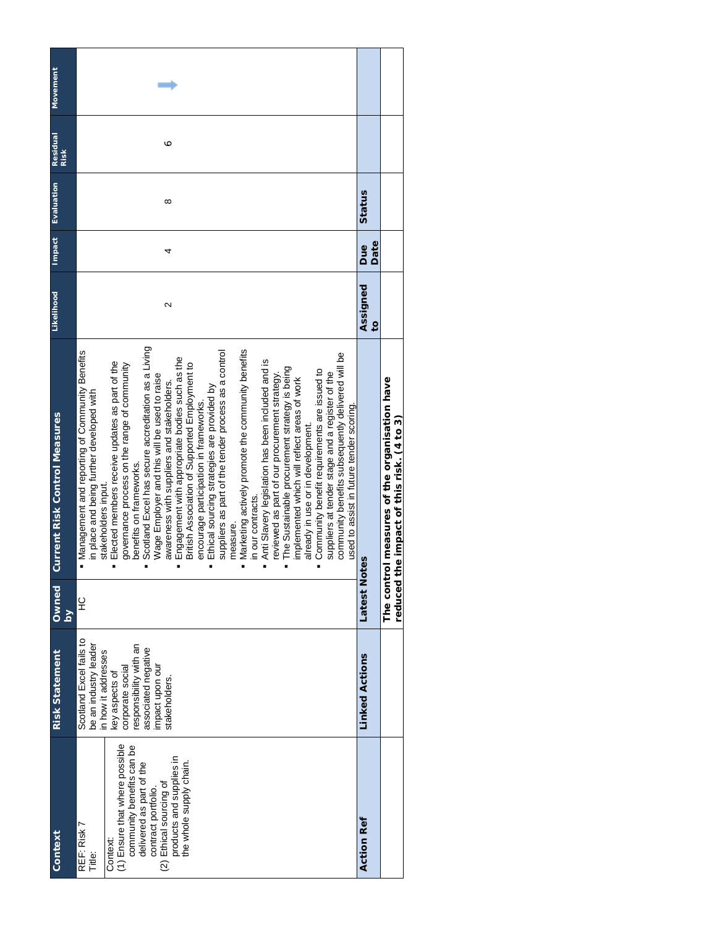| Movement<br>Residual<br>Risk         | ∘                                                                                                                                                                                                                                                                                                                                                                                                                                                                                                                                                                                                                                                                                                                                                                                                                                                                                                                                                                                                                                                                                                                                                                                                 |                            |                                      |
|--------------------------------------|---------------------------------------------------------------------------------------------------------------------------------------------------------------------------------------------------------------------------------------------------------------------------------------------------------------------------------------------------------------------------------------------------------------------------------------------------------------------------------------------------------------------------------------------------------------------------------------------------------------------------------------------------------------------------------------------------------------------------------------------------------------------------------------------------------------------------------------------------------------------------------------------------------------------------------------------------------------------------------------------------------------------------------------------------------------------------------------------------------------------------------------------------------------------------------------------------|----------------------------|--------------------------------------|
| Evaluation                           | ∞                                                                                                                                                                                                                                                                                                                                                                                                                                                                                                                                                                                                                                                                                                                                                                                                                                                                                                                                                                                                                                                                                                                                                                                                 | Status                     |                                      |
| Impact                               | 4                                                                                                                                                                                                                                                                                                                                                                                                                                                                                                                                                                                                                                                                                                                                                                                                                                                                                                                                                                                                                                                                                                                                                                                                 | Date<br>Due                |                                      |
| Likelihood                           | $\sim$                                                                                                                                                                                                                                                                                                                                                                                                                                                                                                                                                                                                                                                                                                                                                                                                                                                                                                                                                                                                                                                                                                                                                                                            | Assigned<br>$\overline{c}$ |                                      |
| <b>Current Risk Control Measures</b> | Scotland Excel has secure accreditation as a Living<br>Marketing actively promote the community benefits<br>suppliers as part of the tender process as a control<br>• Management and reporting of Community Benefits<br>community benefits subsequently delivered will be<br>Engagement with appropriate bodies such as the<br>Anti Slavery legislation has been included and is<br>Elected members receive updates as part of the<br>governance process on the range of community<br>British Association of Supported Employment to<br>The Sustainable procurement strategy is being<br>Community benefit requirements are issued to<br>reviewed as part of our procurement strategy.<br>suppliers at tender stage and a register of the<br>Wage Employer and this will be used to raise<br>implemented which will reflect areas of work<br>awareness with suppliers and stakeholders.<br>Ethical sourcing strategies are provided by<br>in place and being further developed with<br>encourage participation in frameworks.<br>used to assist in future tender scoring.<br>already in use or in development.<br>benefits on frameworks.<br>stakeholders input.<br>in our contracts.<br>measure. |                            | ol measures of the organisation have |
| Owned<br>Σq                          | 잎                                                                                                                                                                                                                                                                                                                                                                                                                                                                                                                                                                                                                                                                                                                                                                                                                                                                                                                                                                                                                                                                                                                                                                                                 | Latest Notes               | The contr                            |
| <b>Risk Statement</b>                | Scotland Excel fails to<br>be an industry leader<br>responsibility with an<br>associated negative<br>in how it addresses<br>impact upon our<br>corporate social<br>key aspects of<br>stakeholders.                                                                                                                                                                                                                                                                                                                                                                                                                                                                                                                                                                                                                                                                                                                                                                                                                                                                                                                                                                                                | <b>Linked Actions</b>      |                                      |
| Context                              | (1) Ensure that where possible<br>community benefits can be<br>products and supplies in<br>the whole supply chain.<br>delivered as part of the<br>(2) Ethical sourcing of<br>contract portfolio.<br>REF: Risk 7<br>Context:<br>Title:                                                                                                                                                                                                                                                                                                                                                                                                                                                                                                                                                                                                                                                                                                                                                                                                                                                                                                                                                             | <b>Action Ref</b>          |                                      |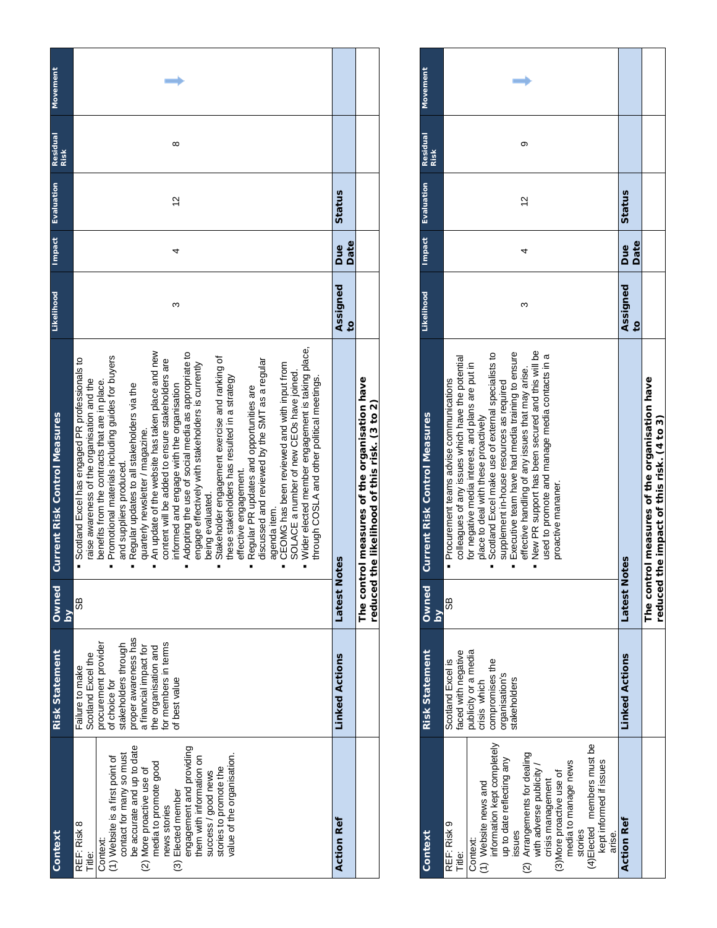| Movement<br><b>Residual</b>          |                         | ∞                                                                                                                                                                                                                                                                                                                                                                                                                                                                                                                                                                                                                                                                                                                                                                                                                                                                                                                                                                                                                                                   |                            |                                                                                |
|--------------------------------------|-------------------------|-----------------------------------------------------------------------------------------------------------------------------------------------------------------------------------------------------------------------------------------------------------------------------------------------------------------------------------------------------------------------------------------------------------------------------------------------------------------------------------------------------------------------------------------------------------------------------------------------------------------------------------------------------------------------------------------------------------------------------------------------------------------------------------------------------------------------------------------------------------------------------------------------------------------------------------------------------------------------------------------------------------------------------------------------------|----------------------------|--------------------------------------------------------------------------------|
| Evaluation                           | <b>Risk</b>             | $\frac{2}{3}$                                                                                                                                                                                                                                                                                                                                                                                                                                                                                                                                                                                                                                                                                                                                                                                                                                                                                                                                                                                                                                       | <b>Status</b>              |                                                                                |
| Impact                               |                         | 4                                                                                                                                                                                                                                                                                                                                                                                                                                                                                                                                                                                                                                                                                                                                                                                                                                                                                                                                                                                                                                                   | Date<br>Due                |                                                                                |
| Likelihood                           |                         | ო                                                                                                                                                                                                                                                                                                                                                                                                                                                                                                                                                                                                                                                                                                                                                                                                                                                                                                                                                                                                                                                   | Assigned<br>$\overline{c}$ |                                                                                |
| <b>Current Risk Control Measures</b> |                         | Wider elected member engagement is taking place,<br>An update of the website has taken place and new<br>Adopting the use of social media as appropriate to<br>Promotional materials including guides for buyers<br>Stakeholder engagement exercise and ranking of<br>Scotland Excel has engaged PR professionals to<br>discussed and reviewed by the SMT as a regular<br>content will be added to ensure stakeholders are<br>CEOMG has been reviewed and with input from<br>engage effectively with stakeholders is currently<br>SOLACE a number of new CEOs have joined.<br>these stakeholders has resulted in a strategy<br>through COSLA and other political meetings.<br>raise awareness of the organisation and the<br>benefits from the contracts that are in place.<br>Regular updates to all stakeholders via the<br>informed and engage with the organisation<br>Regular PR updates and opportunities are<br>quarterly newsletter / magazine.<br>and suppliers produced.<br>effective engagement.<br>being evaluated.<br>agenda item.<br>Ė |                            | rol measures of the organisation have<br>the likelihood of this risk. (3 to 2) |
| Owned                                | $\overline{\mathsf{S}}$ | 9S                                                                                                                                                                                                                                                                                                                                                                                                                                                                                                                                                                                                                                                                                                                                                                                                                                                                                                                                                                                                                                                  | Latest<br>Notes            | The contr<br>reduced                                                           |
| <b>Risk Statement</b>                |                         | proper awareness has<br>procurement provider<br>for members in terms<br>stakeholders through<br>the organisation and<br>a financial impact for<br>Scotland Excel the<br>Failure to make<br>of best value<br>of choice for                                                                                                                                                                                                                                                                                                                                                                                                                                                                                                                                                                                                                                                                                                                                                                                                                           | <b>Linked Actions</b>      |                                                                                |
| Context                              |                         | be accurate and up to date<br>engagement and providing<br>contact for many so must<br>value of the organisation.<br>(1) Website is a first point of<br>them with information on<br>media to promote good<br>stories to promote the<br>(2) More proactive use of<br>success / good news<br>(3) Elected member<br>news stories<br>REF: Risk 8<br>Context:<br>Title:                                                                                                                                                                                                                                                                                                                                                                                                                                                                                                                                                                                                                                                                                   | <b>Action Ref</b>          |                                                                                |

| Movement                             |                                                                                                                                                                                                                                                                                                                                                                                                                                                                                                                                    |                            |                                                                           |
|--------------------------------------|------------------------------------------------------------------------------------------------------------------------------------------------------------------------------------------------------------------------------------------------------------------------------------------------------------------------------------------------------------------------------------------------------------------------------------------------------------------------------------------------------------------------------------|----------------------------|---------------------------------------------------------------------------|
| Residual<br><b>Risk</b>              | တ                                                                                                                                                                                                                                                                                                                                                                                                                                                                                                                                  |                            |                                                                           |
| Evaluation                           | $\frac{2}{3}$                                                                                                                                                                                                                                                                                                                                                                                                                                                                                                                      | Status                     |                                                                           |
| Impact                               |                                                                                                                                                                                                                                                                                                                                                                                                                                                                                                                                    | Date<br>Due                |                                                                           |
| Likelihood                           | ω                                                                                                                                                                                                                                                                                                                                                                                                                                                                                                                                  | Assigned<br>$\overline{c}$ |                                                                           |
| <b>Current Risk Control Measures</b> | New PR support has been secured and this will be<br>Scotland Excel make use of external specialists to<br>Executive team have had media training to ensure<br>used to promote and manage media contacts in a<br>colleagues of any issues which have the potential<br>for negative media interest, and plans are put in<br>effective handling of any issues that may arise.<br>· Procurement teams advise communications<br>supplement in-house resources as required<br>place to deal with these proactively<br>proactive mananer. |                            | ol measures of the organisation have<br>he impact of this risk. (4 to 3): |
| Owned<br>δY                          | 9S                                                                                                                                                                                                                                                                                                                                                                                                                                                                                                                                 | Latest<br>Notes            | The contr<br>reduced <sup>+</sup>                                         |
| <b>Risk Statement</b>                | publicity or a media<br>faced with negative<br>Scotland Excel is<br>compromises the<br>organisation's<br>takeholders<br>crisis which                                                                                                                                                                                                                                                                                                                                                                                               | <b>Linked Actions</b>      |                                                                           |
| Context                              | information kept completely<br>(4)Elected members must be<br>(2) Arrangements for dealing<br>with adverse publicity /<br>up to date reflecting any<br>kept informed if issues<br>media to manage news<br>(3) More proactive use of<br>crisis management<br>(1) Website news and<br>REF: Risk 9<br>issues<br>stories<br>arise.<br>Context:<br>Title:                                                                                                                                                                                | <b>Action Ref</b>          |                                                                           |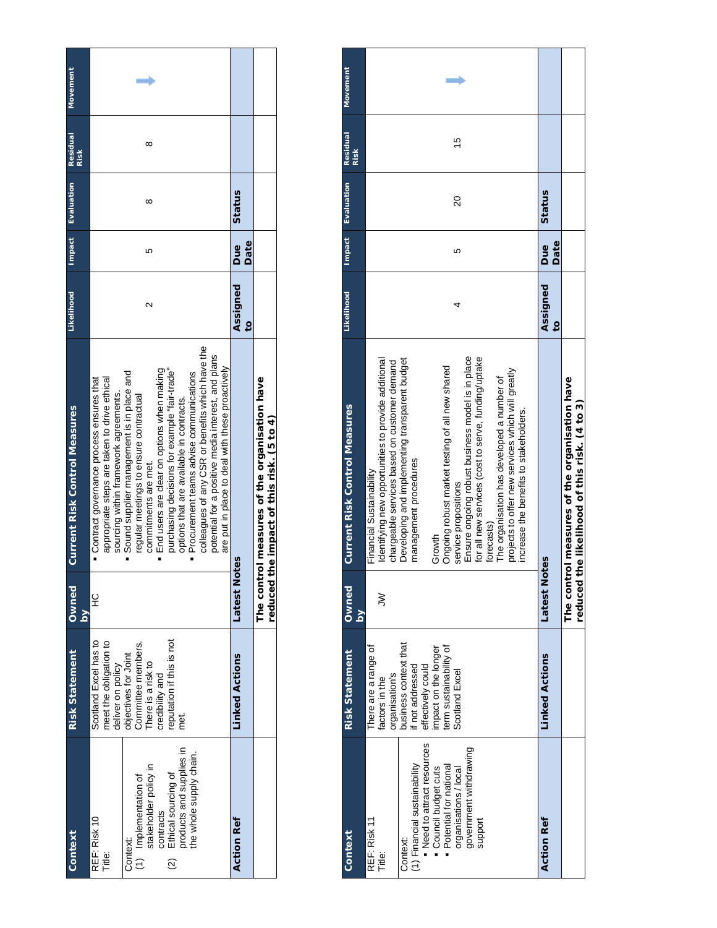| Context                                        | <b>Risk Statement</b>    | <b>Owned</b>        | <b>Current Risk Control Measures</b>                                       | <b>Likelihood</b> | <b>Impact</b> | Evaluation | <b>Residual</b><br><b>Risk</b> | <b>Movement</b> |
|------------------------------------------------|--------------------------|---------------------|----------------------------------------------------------------------------|-------------------|---------------|------------|--------------------------------|-----------------|
|                                                |                          | $\geq$              |                                                                            |                   |               |            |                                |                 |
| REF: Risk 10                                   | Scotland Excel has to    | 잎                   | Contract governance process ensures that                                   |                   |               |            |                                |                 |
| Title:                                         | meet the obligation to   |                     | appropriate steps are taken to drive ethical                               |                   |               |            |                                |                 |
|                                                | deliver on policy        |                     | sourcing within framework agreements.                                      |                   |               |            |                                |                 |
| Context:                                       | objectives for Joint     |                     | Sound supplier management is in place and                                  |                   |               |            |                                |                 |
|                                                | Committee members.       |                     | regular meetings to ensure contractual                                     |                   |               |            |                                |                 |
| (1) Implementation of<br>stakeholder policy in | There is a risk to       |                     | commitments are met.                                                       | Ν                 | ю             | ∞          | ∞                              |                 |
| contracts                                      | predibility and          |                     | End users are clear on options when making                                 |                   |               |            |                                |                 |
| Ethical sourcing of<br>$\frac{1}{2}$           | eputation if this is not |                     | purchasing decisions for example "fair-trade"                              |                   |               |            |                                |                 |
| products and supplies in                       | met.<br>E                |                     | options that are available in contracts.                                   |                   |               |            |                                |                 |
| the whole supply chain.                        |                          |                     | Procurement teams advise communications                                    |                   |               |            |                                |                 |
|                                                |                          |                     | colleagues of any CSR or benefits which have the                           |                   |               |            |                                |                 |
|                                                |                          |                     | potential for a positive media interest, and plans                         |                   |               |            |                                |                 |
|                                                |                          |                     | are put in place to deal with these proactively                            |                   |               |            |                                |                 |
| Action Ref                                     | <b>Linked Actions</b>    | Latest<br>Notes     |                                                                            | Assigned          | Due           | Status     |                                |                 |
|                                                |                          |                     |                                                                            | $\overline{6}$    | Date          |            |                                |                 |
|                                                |                          | The cont<br>reduced | rol measures of the organisation have<br>the impact of this risk. (5 to 4) |                   |               |            |                                |                 |
|                                                |                          |                     |                                                                            |                   |               |            |                                |                 |

| Context                      | <b>Risk Statement</b> | Owned                   | <b>Current Risk Control Measures</b>                                                   | Likelihood     | Impact | Evaluation | <b>Residual</b><br>Risk | <b>Movement</b> |
|------------------------------|-----------------------|-------------------------|----------------------------------------------------------------------------------------|----------------|--------|------------|-------------------------|-----------------|
|                              |                       | $\overline{\mathbf{a}}$ |                                                                                        |                |        |            |                         |                 |
| REF: Risk 11                 | here are a range of   |                         | Financial Sustainability                                                               |                |        |            |                         |                 |
| Title:                       | actors in the         | ξ                       | Identifying new opportunities to provide additional                                    |                |        |            |                         |                 |
|                              | organisation's        |                         | chargeable services based on customer demand                                           |                |        |            |                         |                 |
| Context:                     | business context that |                         | Developing and implementing transparent budget                                         |                |        |            |                         |                 |
| (1) Financial sustainability | if not addressed      |                         | management procedures                                                                  |                |        |            |                         |                 |
| Need to attract resources    | effectively could     |                         |                                                                                        |                |        |            |                         |                 |
| Council budget cuts          | mpact on the longer   |                         | Growth                                                                                 |                |        |            |                         |                 |
| Potential for national       | erm sustainability of |                         | Ongoing robust market testing of all new shared                                        |                |        |            |                         |                 |
| organisations / local        | Scotland Excel        |                         | service propositions                                                                   |                | 5      | 20         | 10                      |                 |
| government withdrawing       |                       |                         | Ensure ongoing robust business model is in place                                       |                |        |            |                         |                 |
| support                      |                       |                         | for all new services (cost to serve, funding/uptake                                    |                |        |            |                         |                 |
|                              |                       |                         | forecasts)                                                                             |                |        |            |                         |                 |
|                              |                       |                         | The organisation has developed a number of                                             |                |        |            |                         |                 |
|                              |                       |                         | projects to offer new services which will greatly                                      |                |        |            |                         |                 |
|                              |                       |                         | increase the benefits to stakeholders.                                                 |                |        |            |                         |                 |
|                              |                       |                         |                                                                                        |                |        |            |                         |                 |
| <b>Action Ref</b>            | <b>Linked Actions</b> | Latest<br>No            | ites                                                                                   | Assigned       | Due    | Status     |                         |                 |
|                              |                       |                         |                                                                                        | $\overline{c}$ | Date   |            |                         |                 |
|                              |                       | reduced                 | The control measures of the organisation have<br>the likelihood of this risk. (4 to 3) |                |        |            |                         |                 |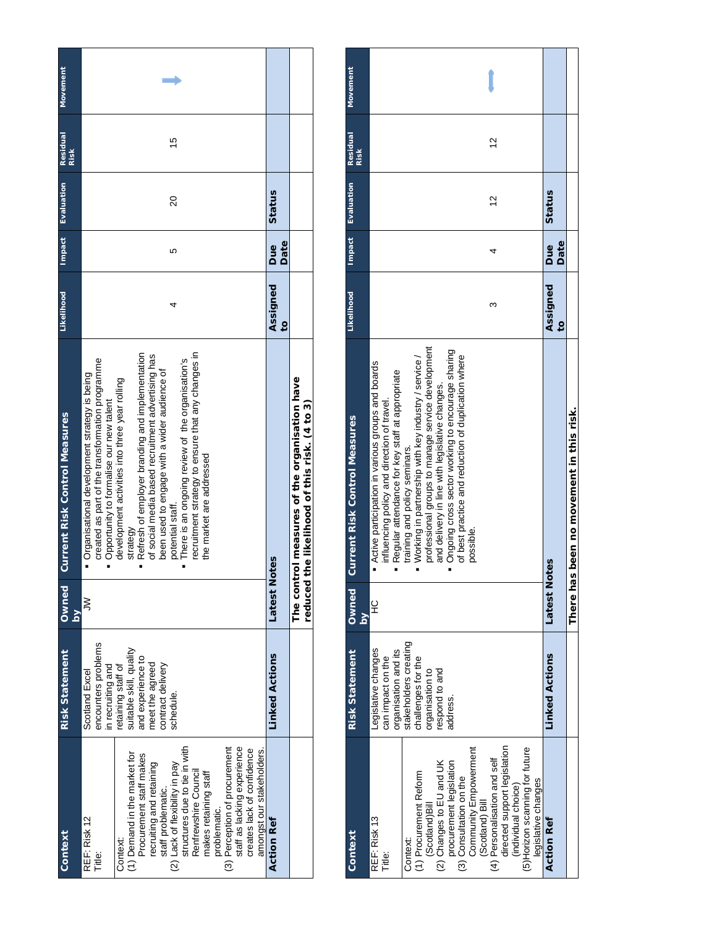| Context                                        | <b>Risk Statement</b>   | <b>DenwO</b>    | <b>Current Risk Control Measures</b>               | Likelihood     |      | Impact Evaluation | <b>Residual</b> | <b>Movement</b> |
|------------------------------------------------|-------------------------|-----------------|----------------------------------------------------|----------------|------|-------------------|-----------------|-----------------|
|                                                |                         | $\mathsf{S}$    |                                                    |                |      |                   | Risk            |                 |
| REF: Risk 12                                   | Scotland Excel          | $\gtrless$      | Organisational development strategy is being       |                |      |                   |                 |                 |
| Title:                                         | encounters problems     |                 | created as part of the transformation programme    |                |      |                   |                 |                 |
|                                                | in recruiting and       |                 | Opportunity to formalise our new talent            |                |      |                   |                 |                 |
| Context:                                       | etaining staff of       |                 | development activities into three year rolling     |                |      |                   |                 |                 |
| (1) Demand in the market for                   | suitable skill, quality |                 | strategy                                           |                |      |                   |                 |                 |
| Procurement staff makes                        | and experience to       |                 | Refresh of employer branding and implementation    |                |      |                   |                 |                 |
|                                                | meet the agreed         |                 | of social media based recruitment advertising has  |                |      |                   |                 |                 |
| recruiting and retaining<br>staff problematic. | contract delivery       |                 | been used to engage with a wider audience of       |                |      |                   |                 |                 |
| (2) Lack of flexibility in pay                 | schedule.               |                 | potential staff.                                   | 4              | Ю    | 20                | 10              |                 |
| structures due to tie in with                  |                         |                 | There is an ongoing review of the organisation's   |                |      |                   |                 |                 |
| Renfrewshire Council                           |                         |                 | recruitment strategy to ensure that any changes in |                |      |                   |                 |                 |
| makes retaining staff                          |                         |                 | the market are addressed                           |                |      |                   |                 |                 |
| problematic.                                   |                         |                 |                                                    |                |      |                   |                 |                 |
| (3) Perception of procurement                  |                         |                 |                                                    |                |      |                   |                 |                 |
| staff as lacking experience                    |                         |                 |                                                    |                |      |                   |                 |                 |
| creates lack of confidence                     |                         |                 |                                                    |                |      |                   |                 |                 |
| amongst our stakeholders                       |                         |                 |                                                    |                |      |                   |                 |                 |
| <b>Action Ref</b>                              | Linked Actions          | Latest<br>Notes |                                                    | Assigned       | Due  | Status            |                 |                 |
|                                                |                         |                 |                                                    | $\overline{c}$ | Date |                   |                 |                 |
|                                                |                         |                 | The control measures of the organisation have      |                |      |                   |                 |                 |
|                                                |                         | reduced         | the likelihood of this risk. (4 to 3)              |                |      |                   |                 |                 |

| Context                                                                                                                                                                                                                                                                                                                                                      | <b>Risk Statement</b>                                                                                                                                           | <b>Owned</b><br>$\overline{\mathbf{a}}$ | <b>Current Risk Control Measures</b>                                                                                                                                                                                                                                                                                                                                                                                                                                         | Likelihood                 | <b>Impact</b> | Evaluation    | Residual<br>Risk | Movement |
|--------------------------------------------------------------------------------------------------------------------------------------------------------------------------------------------------------------------------------------------------------------------------------------------------------------------------------------------------------------|-----------------------------------------------------------------------------------------------------------------------------------------------------------------|-----------------------------------------|------------------------------------------------------------------------------------------------------------------------------------------------------------------------------------------------------------------------------------------------------------------------------------------------------------------------------------------------------------------------------------------------------------------------------------------------------------------------------|----------------------------|---------------|---------------|------------------|----------|
| directed support legislation<br>(5) Horizon scanning for future<br>Community Empowerment<br>(4) Personalisation and self<br>(2) Changes to EU and UK<br>procurement legislation<br>1) Procurement Reform<br>(3) Consultation on the<br>legislative changes<br>(individual choice)<br>(Scotland) Bill<br>(Scotland)Bill<br>REF: Risk 13<br>Context:<br>Title: | stakeholders creating<br>-egislative changes<br>organisation and its<br>can impact on the<br>challenges for the<br>organisation to<br>espond to and<br>address. | 잎                                       | professional groups to manage service development<br>Ongoing cross sector working to encourage sharing<br>of best practice and reduction of duplication where<br>Working in partnership with key industry / service /<br>Active participation in various groups and boards<br>Regular attendance for key staff at appropriate<br>and delivery in line with legislative changes.<br>influencing policy and direction of travel.<br>training and policy seminars.<br>possible. | 3                          |               | $\frac{2}{3}$ | 5                |          |
| <b>Action Ref</b>                                                                                                                                                                                                                                                                                                                                            | <b>Linked Actions</b>                                                                                                                                           | <b>Latest Notes</b>                     |                                                                                                                                                                                                                                                                                                                                                                                                                                                                              | Assigned<br>$\overline{c}$ | Date<br>Due   | Status        |                  |          |
|                                                                                                                                                                                                                                                                                                                                                              |                                                                                                                                                                 | There has                               | been no movement in this risk.                                                                                                                                                                                                                                                                                                                                                                                                                                               |                            |               |               |                  |          |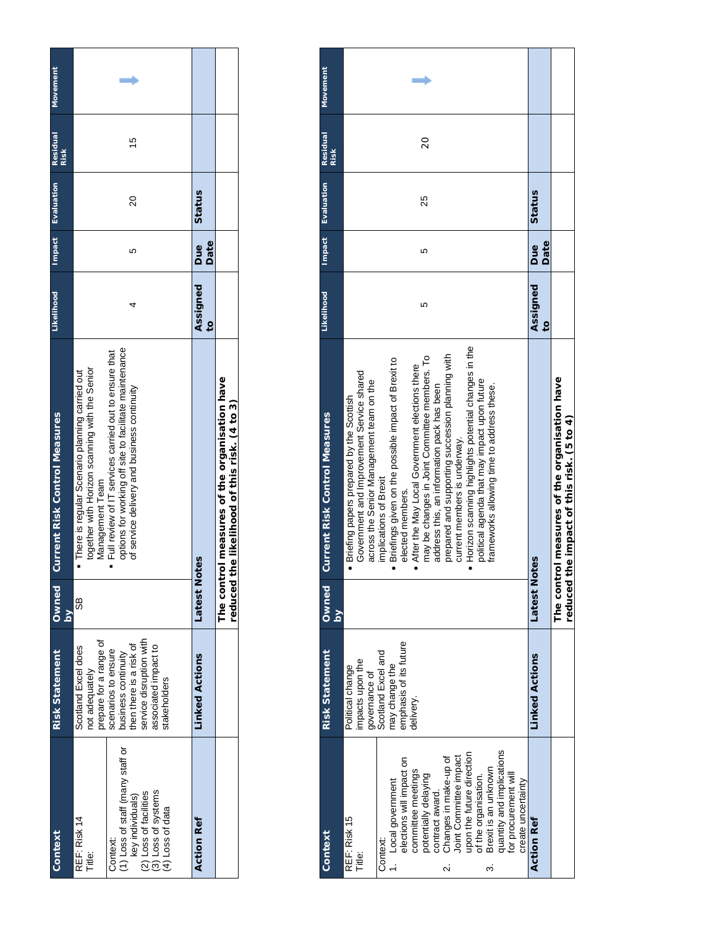| Context                                                                                                                                                         | <b>Risk Statement</b>                                                                                                                                                                                       | Owned<br>$\geq$ | <b>Current Risk Control Measures</b>                                                                                                                                                                                                                                                    | Likelihood                 |             | Impact Evaluation | <b>Residual</b><br><b>Risk</b> | <b>Movement</b> |
|-----------------------------------------------------------------------------------------------------------------------------------------------------------------|-------------------------------------------------------------------------------------------------------------------------------------------------------------------------------------------------------------|-----------------|-----------------------------------------------------------------------------------------------------------------------------------------------------------------------------------------------------------------------------------------------------------------------------------------|----------------------------|-------------|-------------------|--------------------------------|-----------------|
| (1) Loss of staff (many staff or<br>(2) Loss of facilities<br>(3) Loss of systems<br>key individuals)<br>(4) Loss of data<br>REF: Risk 14<br>Context:<br>Title: | service disruption with<br>prepare for a range of<br>then there is a risk of<br>Scotland Excel does<br>associated impact to<br>scenarios to ensure<br>business continuity<br>not adequately<br>stakeholders | 88              | options for working off site to facilitate maintenance<br>Full review of IT services carried out to ensure that<br>together with Horizon scanning with the Senior<br>• There is regular Scenario planning carried out<br>of service delivery and business continuity<br>Management Team |                            | ю           | 20                | 10                             |                 |
| <b>Action Ref</b>                                                                                                                                               | <b>Linked Actions</b>                                                                                                                                                                                       | Latest<br>Notes |                                                                                                                                                                                                                                                                                         | Assigned<br>$\overline{0}$ | Date<br>Due | Status            |                                |                 |
|                                                                                                                                                                 |                                                                                                                                                                                                             | reduced         | The control measures of the organisation have<br>the likelihood of this risk. (4 to 3)                                                                                                                                                                                                  |                            |             |                   |                                |                 |

| Context                                                                                                                                                                                                                                                                                                                                                                      | <b>Risk Statement</b>                                                                                                                | <b>Owned</b> | Current Risk Control Measures                                                                                                                                                                                                                                                                                                                                                                                                                                                                                                                                                                                                     | <b>Likelihood</b>          | <b>Impact</b> | Evaluation | Residual | Movement |
|------------------------------------------------------------------------------------------------------------------------------------------------------------------------------------------------------------------------------------------------------------------------------------------------------------------------------------------------------------------------------|--------------------------------------------------------------------------------------------------------------------------------------|--------------|-----------------------------------------------------------------------------------------------------------------------------------------------------------------------------------------------------------------------------------------------------------------------------------------------------------------------------------------------------------------------------------------------------------------------------------------------------------------------------------------------------------------------------------------------------------------------------------------------------------------------------------|----------------------------|---------------|------------|----------|----------|
|                                                                                                                                                                                                                                                                                                                                                                              |                                                                                                                                      | $\geq$       |                                                                                                                                                                                                                                                                                                                                                                                                                                                                                                                                                                                                                                   |                            |               |            | Risk     |          |
| quantity and implications<br>for procurement will<br>upon the future direction<br>Changes in make-up of<br>Joint Committee impact<br>elections will impact on<br>Brexit is an unknown<br>committee meetings<br>potentially delaying<br>of the organisation.<br>1. Local government<br>create uncertainty<br>contract award.<br>REF: Risk 15<br>Context:<br>Title:<br>Ñ۰<br>က | emphasis of its future<br>Scotland Excel and<br>impacts upon the<br>may change the<br>Political change<br>governance of<br>delivery. |              | Horizon scanning highlights potential changes in the<br>prepared and supporting succession planning with<br>may be changes in Joint Committee members. To<br>Briefings given on the possible impact of Brexit to<br>After the May Local Government elections there<br>Government and Improvement Service shared<br>political agenda that may impact upon future<br>across the Senior Management team on the<br>address this, an information pack has been<br>frameworks allowing time to address these.<br>Briefing papers prepared by the Scottish<br>current members is underway.<br>implications of Brexit<br>elected members. | 5                          | LO            | 25         | 20       |          |
| <b>Action Ref</b>                                                                                                                                                                                                                                                                                                                                                            | <b>Linked Actions</b>                                                                                                                | Latest Not   | es                                                                                                                                                                                                                                                                                                                                                                                                                                                                                                                                                                                                                                | Assigned<br>$\overline{c}$ | Date<br>Due   | Status     |          |          |
|                                                                                                                                                                                                                                                                                                                                                                              |                                                                                                                                      | reduced tl   | The control measures of the organisation have<br>he impact of this risk. (5 to 4)                                                                                                                                                                                                                                                                                                                                                                                                                                                                                                                                                 |                            |               |            |          |          |